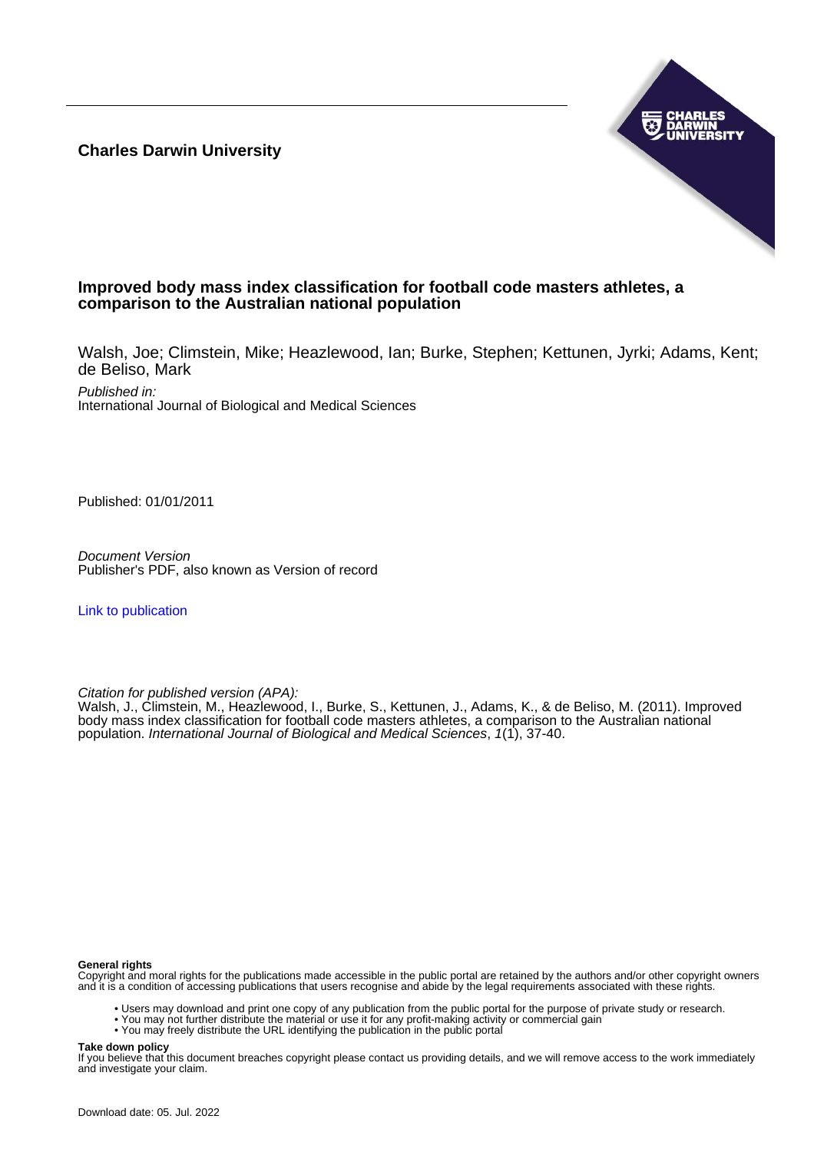**Charles Darwin University**



# **Improved body mass index classification for football code masters athletes, a comparison to the Australian national population**

Walsh, Joe; Climstein, Mike; Heazlewood, Ian; Burke, Stephen; Kettunen, Jyrki; Adams, Kent; de Beliso, Mark

Published in: International Journal of Biological and Medical Sciences

Published: 01/01/2011

Document Version Publisher's PDF, also known as Version of record

[Link to publication](https://researchers.cdu.edu.au/en/publications/12c5a9ee-5b60-46f5-aae3-0373edd125b2)

Citation for published version (APA):

Walsh, J., Climstein, M., Heazlewood, I., Burke, S., Kettunen, J., Adams, K., & de Beliso, M. (2011). Improved body mass index classification for football code masters athletes, a comparison to the Australian national population. International Journal of Biological and Medical Sciences, 1(1), 37-40.

#### **General rights**

Copyright and moral rights for the publications made accessible in the public portal are retained by the authors and/or other copyright owners and it is a condition of accessing publications that users recognise and abide by the legal requirements associated with these rights.

- Users may download and print one copy of any publication from the public portal for the purpose of private study or research.
- You may not further distribute the material or use it for any profit-making activity or commercial gain
- You may freely distribute the URL identifying the publication in the public portal

#### **Take down policy**

If you believe that this document breaches copyright please contact us providing details, and we will remove access to the work immediately and investigate your claim.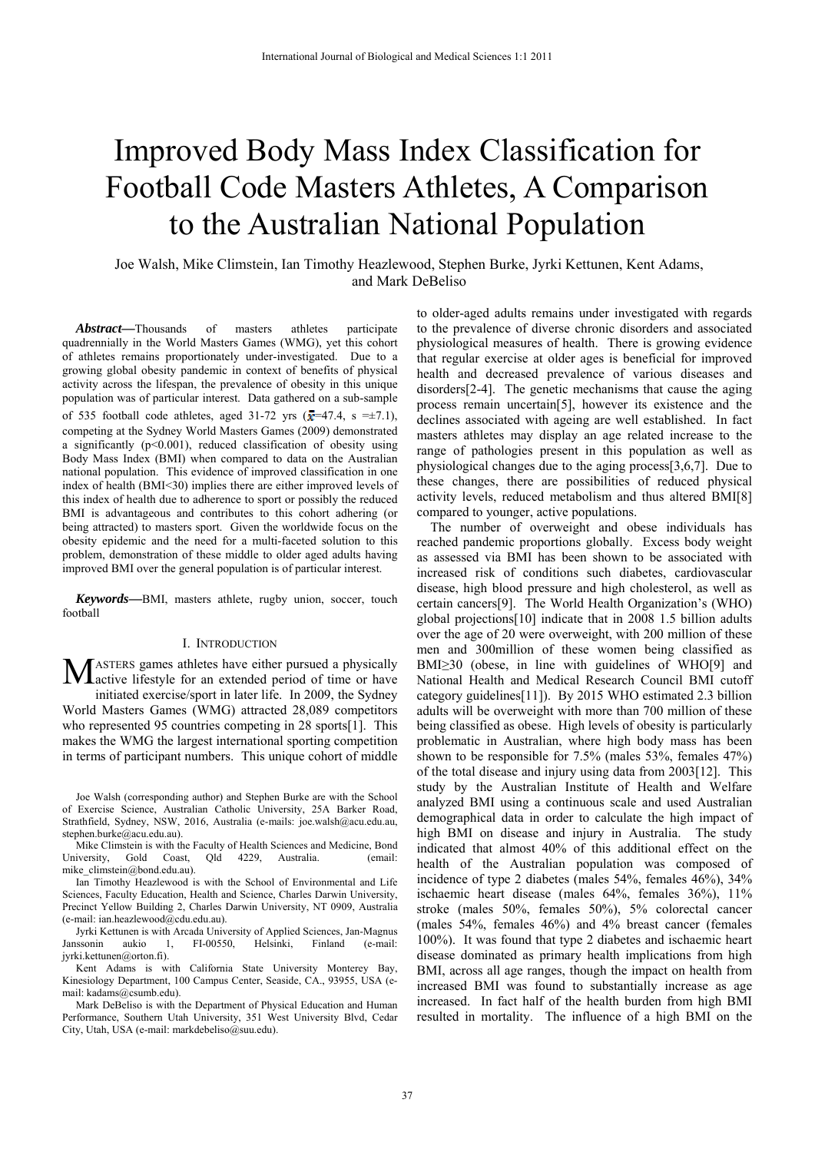# Improved Body Mass Index Classification for Football Code Masters Athletes, A Comparison to the Australian National Population

Joe Walsh, Mike Climstein, Ian Timothy Heazlewood, Stephen Burke, Jyrki Kettunen, Kent Adams, and Mark DeBeliso

*Abstract***—**Thousands of masters athletes participate quadrennially in the World Masters Games (WMG), yet this cohort of athletes remains proportionately under-investigated. Due to a growing global obesity pandemic in context of benefits of physical activity across the lifespan, the prevalence of obesity in this unique population was of particular interest. Data gathered on a sub-sample of 535 football code athletes, aged 31-72 yrs  $(\bar{x}=47.4, s = \pm 7.1)$ , competing at the Sydney World Masters Games (2009) demonstrated a significantly  $(p<0.001)$ , reduced classification of obesity using Body Mass Index (BMI) when compared to data on the Australian national population. This evidence of improved classification in one index of health (BMI<30) implies there are either improved levels of this index of health due to adherence to sport or possibly the reduced BMI is advantageous and contributes to this cohort adhering (or being attracted) to masters sport. Given the worldwide focus on the obesity epidemic and the need for a multi-faceted solution to this problem, demonstration of these middle to older aged adults having improved BMI over the general population is of particular interest.

*Keywords***—**BMI, masters athlete, rugby union, soccer, touch football

## I. INTRODUCTION

ASTERS games athletes have either pursued a physically **M** ASTERS games athletes have either pursued a physically active lifestyle for an extended period of time or have initiated exercise/sport in later life. In 2009, the Sydney World Masters Games (WMG) attracted 28,089 competitors who represented 95 countries competing in 28 sports[1]. This makes the WMG the largest international sporting competition in terms of participant numbers. This unique cohort of middle

Joe Walsh (corresponding author) and Stephen Burke are with the School of Exercise Science, Australian Catholic University, 25A Barker Road, Strathfield, Sydney, NSW, 2016, Australia (e-mails: joe.walsh@acu.edu.au, stephen.burke@acu.edu.au).

Mike Climstein is with the Faculty of Health Sciences and Medicine, Bond University, Gold Coast, Qld 4229, Australia. (email: mike\_climstein@bond.edu.au).

Ian Timothy Heazlewood is with the School of Environmental and Life Sciences, Faculty Education, Health and Science, Charles Darwin University, Precinct Yellow Building 2, Charles Darwin University, NT 0909, Australia (e-mail: ian.heazlewood@cdu.edu.au).

Jyrki Kettunen is with Arcada University of Applied Sciences, Jan-Magnus Janssonin aukio 1, FI-00550, Helsinki, Finland (e-mail: jyrki.kettunen@orton.fi).

Kent Adams is with California State University Monterey Bay, Kinesiology Department, 100 Campus Center, Seaside, CA., 93955, USA (email: kadams@csumb.edu).

Mark DeBeliso is with the Department of Physical Education and Human Performance, Southern Utah University, 351 West University Blvd, Cedar City, Utah, USA (e-mail: markdebeliso@suu.edu).

to older-aged adults remains under investigated with regards to the prevalence of diverse chronic disorders and associated physiological measures of health. There is growing evidence that regular exercise at older ages is beneficial for improved health and decreased prevalence of various diseases and disorders[2-4]. The genetic mechanisms that cause the aging process remain uncertain[5], however its existence and the declines associated with ageing are well established. In fact masters athletes may display an age related increase to the range of pathologies present in this population as well as physiological changes due to the aging process[3,6,7]. Due to these changes, there are possibilities of reduced physical activity levels, reduced metabolism and thus altered BMI[8] compared to younger, active populations.

The number of overweight and obese individuals has reached pandemic proportions globally. Excess body weight as assessed via BMI has been shown to be associated with increased risk of conditions such diabetes, cardiovascular disease, high blood pressure and high cholesterol, as well as certain cancers[9]. The World Health Organization's (WHO) global projections[10] indicate that in 2008 1.5 billion adults over the age of 20 were overweight, with 200 million of these men and 300million of these women being classified as BMI≥30 (obese, in line with guidelines of WHO[9] and National Health and Medical Research Council BMI cutoff category guidelines[11]). By 2015 WHO estimated 2.3 billion adults will be overweight with more than 700 million of these being classified as obese. High levels of obesity is particularly problematic in Australian, where high body mass has been shown to be responsible for 7.5% (males 53%, females 47%) of the total disease and injury using data from 2003[12]. This study by the Australian Institute of Health and Welfare analyzed BMI using a continuous scale and used Australian demographical data in order to calculate the high impact of high BMI on disease and injury in Australia. The study indicated that almost 40% of this additional effect on the health of the Australian population was composed of incidence of type 2 diabetes (males 54%, females 46%), 34% ischaemic heart disease (males 64%, females 36%), 11% stroke (males 50%, females 50%), 5% colorectal cancer (males 54%, females 46%) and 4% breast cancer (females 100%). It was found that type 2 diabetes and ischaemic heart disease dominated as primary health implications from high BMI, across all age ranges, though the impact on health from increased BMI was found to substantially increase as age increased. In fact half of the health burden from high BMI resulted in mortality. The influence of a high BMI on the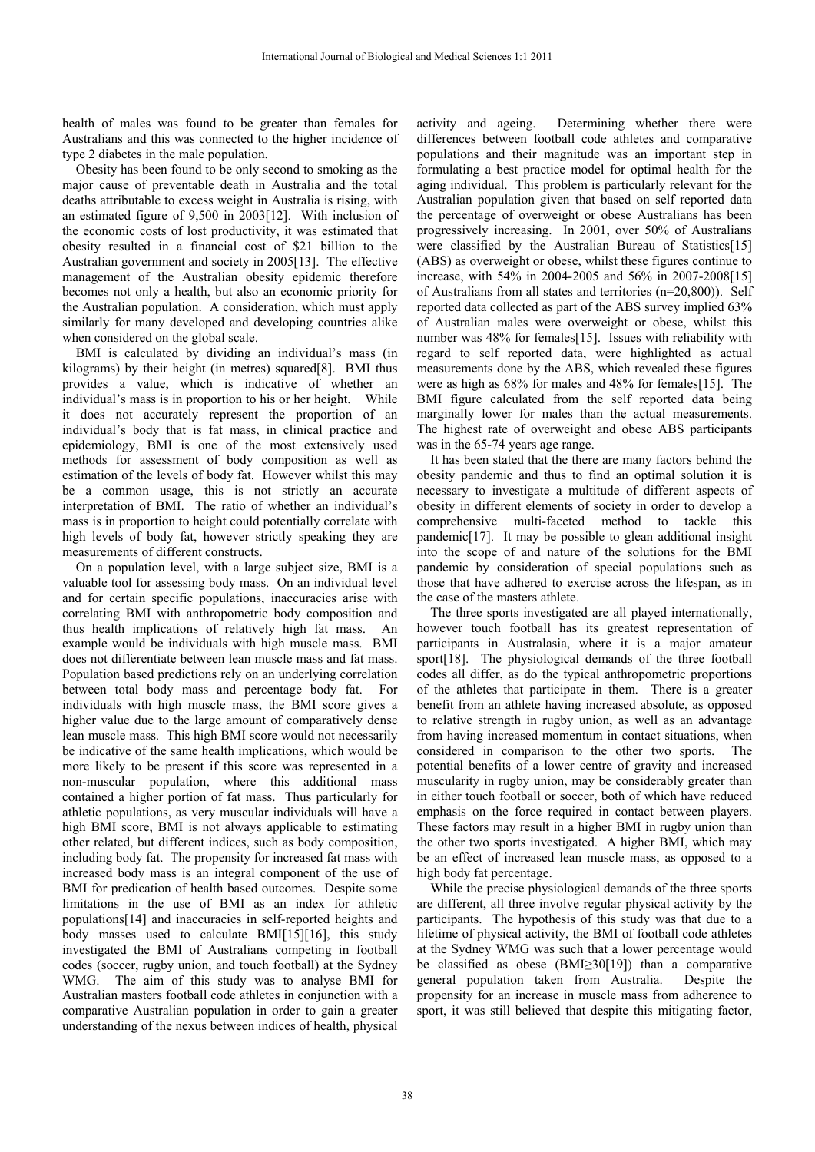health of males was found to be greater than females for Australians and this was connected to the higher incidence of type 2 diabetes in the male population.

Obesity has been found to be only second to smoking as the major cause of preventable death in Australia and the total deaths attributable to excess weight in Australia is rising, with an estimated figure of 9,500 in 2003[12]. With inclusion of the economic costs of lost productivity, it was estimated that obesity resulted in a financial cost of \$21 billion to the Australian government and society in 2005[13]. The effective management of the Australian obesity epidemic therefore becomes not only a health, but also an economic priority for the Australian population. A consideration, which must apply similarly for many developed and developing countries alike when considered on the global scale.

BMI is calculated by dividing an individual's mass (in kilograms) by their height (in metres) squared[8]. BMI thus provides a value, which is indicative of whether an individual's mass is in proportion to his or her height. While it does not accurately represent the proportion of an individual's body that is fat mass, in clinical practice and epidemiology, BMI is one of the most extensively used methods for assessment of body composition as well as estimation of the levels of body fat. However whilst this may be a common usage, this is not strictly an accurate interpretation of BMI. The ratio of whether an individual's mass is in proportion to height could potentially correlate with high levels of body fat, however strictly speaking they are measurements of different constructs.

On a population level, with a large subject size, BMI is a valuable tool for assessing body mass. On an individual level and for certain specific populations, inaccuracies arise with correlating BMI with anthropometric body composition and thus health implications of relatively high fat mass. An example would be individuals with high muscle mass. BMI does not differentiate between lean muscle mass and fat mass. Population based predictions rely on an underlying correlation between total body mass and percentage body fat. For individuals with high muscle mass, the BMI score gives a higher value due to the large amount of comparatively dense lean muscle mass. This high BMI score would not necessarily be indicative of the same health implications, which would be more likely to be present if this score was represented in a non-muscular population, where this additional mass contained a higher portion of fat mass. Thus particularly for athletic populations, as very muscular individuals will have a high BMI score, BMI is not always applicable to estimating other related, but different indices, such as body composition, including body fat. The propensity for increased fat mass with increased body mass is an integral component of the use of BMI for predication of health based outcomes. Despite some limitations in the use of BMI as an index for athletic populations[14] and inaccuracies in self-reported heights and body masses used to calculate BMI[15][16], this study investigated the BMI of Australians competing in football codes (soccer, rugby union, and touch football) at the Sydney WMG. The aim of this study was to analyse BMI for Australian masters football code athletes in conjunction with a comparative Australian population in order to gain a greater understanding of the nexus between indices of health, physical

activity and ageing. Determining whether there were differences between football code athletes and comparative populations and their magnitude was an important step in formulating a best practice model for optimal health for the aging individual. This problem is particularly relevant for the Australian population given that based on self reported data the percentage of overweight or obese Australians has been progressively increasing. In 2001, over 50% of Australians were classified by the Australian Bureau of Statistics[15] (ABS) as overweight or obese, whilst these figures continue to increase, with 54% in 2004-2005 and 56% in 2007-2008[15] of Australians from all states and territories (n=20,800)). Self reported data collected as part of the ABS survey implied 63% of Australian males were overweight or obese, whilst this number was 48% for females[15]. Issues with reliability with regard to self reported data, were highlighted as actual measurements done by the ABS, which revealed these figures were as high as 68% for males and 48% for females[15]. The BMI figure calculated from the self reported data being marginally lower for males than the actual measurements. The highest rate of overweight and obese ABS participants was in the 65-74 years age range.

It has been stated that the there are many factors behind the obesity pandemic and thus to find an optimal solution it is necessary to investigate a multitude of different aspects of obesity in different elements of society in order to develop a comprehensive multi-faceted method to tackle this pandemic[17]. It may be possible to glean additional insight into the scope of and nature of the solutions for the BMI pandemic by consideration of special populations such as those that have adhered to exercise across the lifespan, as in the case of the masters athlete.

The three sports investigated are all played internationally, however touch football has its greatest representation of participants in Australasia, where it is a major amateur sport[18]. The physiological demands of the three football codes all differ, as do the typical anthropometric proportions of the athletes that participate in them. There is a greater benefit from an athlete having increased absolute, as opposed to relative strength in rugby union, as well as an advantage from having increased momentum in contact situations, when considered in comparison to the other two sports. The potential benefits of a lower centre of gravity and increased muscularity in rugby union, may be considerably greater than in either touch football or soccer, both of which have reduced emphasis on the force required in contact between players. These factors may result in a higher BMI in rugby union than the other two sports investigated. A higher BMI, which may be an effect of increased lean muscle mass, as opposed to a high body fat percentage.

While the precise physiological demands of the three sports are different, all three involve regular physical activity by the participants. The hypothesis of this study was that due to a lifetime of physical activity, the BMI of football code athletes at the Sydney WMG was such that a lower percentage would be classified as obese (BMI≥30[19]) than a comparative general population taken from Australia. Despite the propensity for an increase in muscle mass from adherence to sport, it was still believed that despite this mitigating factor,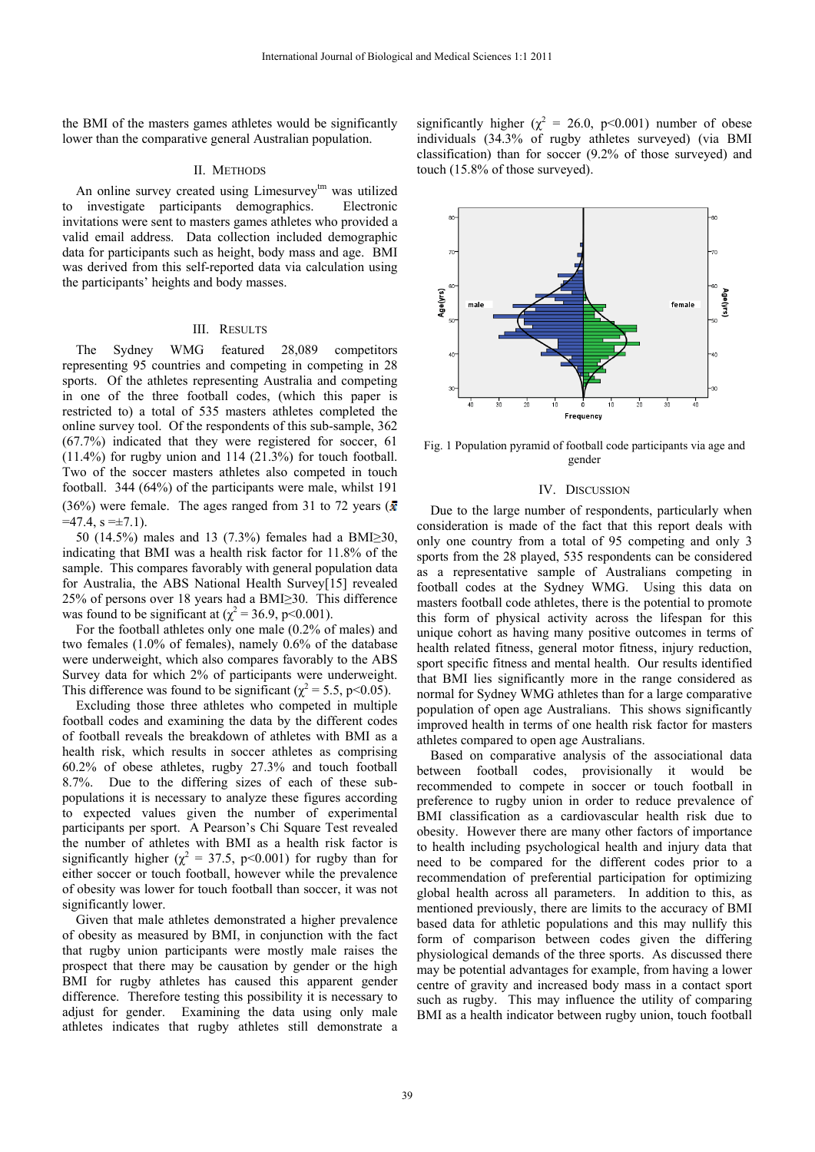the BMI of the masters games athletes would be significantly lower than the comparative general Australian population.

# II. METHODS

An online survey created using Limesurvey<sup>tm</sup> was utilized to investigate participants demographics. Electronic invitations were sent to masters games athletes who provided a valid email address. Data collection included demographic data for participants such as height, body mass and age. BMI was derived from this self-reported data via calculation using the participants' heights and body masses.

#### III. RESULTS

The Sydney WMG featured 28,089 competitors representing 95 countries and competing in competing in 28 sports. Of the athletes representing Australia and competing in one of the three football codes, (which this paper is restricted to) a total of 535 masters athletes completed the online survey tool. Of the respondents of this sub-sample, 362 (67.7%) indicated that they were registered for soccer, 61  $(11.4\%)$  for rugby union and 114  $(21.3\%)$  for touch football. Two of the soccer masters athletes also competed in touch football. 344 (64%) of the participants were male, whilst 191 (36%) were female. The ages ranged from 31 to 72 years ( $\bar{x}$ )  $=47.4$ ,  $s = \pm 7.1$ ).

50 (14.5%) males and 13 (7.3%) females had a BMI≥30, indicating that BMI was a health risk factor for 11.8% of the sample. This compares favorably with general population data for Australia, the ABS National Health Survey[15] revealed 25% of persons over 18 years had a BMI≥30. This difference was found to be significant at ( $\chi^2$  = 36.9, p<0.001).

For the football athletes only one male (0.2% of males) and two females (1.0% of females), namely 0.6% of the database were underweight, which also compares favorably to the ABS Survey data for which 2% of participants were underweight. This difference was found to be significant ( $\chi^2$  = 5.5, p<0.05).

Excluding those three athletes who competed in multiple football codes and examining the data by the different codes of football reveals the breakdown of athletes with BMI as a health risk, which results in soccer athletes as comprising 60.2% of obese athletes, rugby 27.3% and touch football 8.7%. Due to the differing sizes of each of these subpopulations it is necessary to analyze these figures according to expected values given the number of experimental participants per sport. A Pearson's Chi Square Test revealed the number of athletes with BMI as a health risk factor is significantly higher ( $\chi^2 = 37.5$ , p<0.001) for rugby than for either soccer or touch football, however while the prevalence of obesity was lower for touch football than soccer, it was not significantly lower.

Given that male athletes demonstrated a higher prevalence of obesity as measured by BMI, in conjunction with the fact that rugby union participants were mostly male raises the prospect that there may be causation by gender or the high BMI for rugby athletes has caused this apparent gender difference. Therefore testing this possibility it is necessary to adjust for gender. Examining the data using only male athletes indicates that rugby athletes still demonstrate a

significantly higher ( $\chi^2 = 26.0$ , p<0.001) number of obese individuals (34.3% of rugby athletes surveyed) (via BMI classification) than for soccer (9.2% of those surveyed) and touch (15.8% of those surveyed).



Fig. 1 Population pyramid of football code participants via age and gender

# IV. DISCUSSION

Due to the large number of respondents, particularly when consideration is made of the fact that this report deals with only one country from a total of 95 competing and only 3 sports from the 28 played, 535 respondents can be considered as a representative sample of Australians competing in football codes at the Sydney WMG. Using this data on masters football code athletes, there is the potential to promote this form of physical activity across the lifespan for this unique cohort as having many positive outcomes in terms of health related fitness, general motor fitness, injury reduction, sport specific fitness and mental health. Our results identified that BMI lies significantly more in the range considered as normal for Sydney WMG athletes than for a large comparative population of open age Australians. This shows significantly improved health in terms of one health risk factor for masters athletes compared to open age Australians.

Based on comparative analysis of the associational data between football codes, provisionally it would be recommended to compete in soccer or touch football in preference to rugby union in order to reduce prevalence of BMI classification as a cardiovascular health risk due to obesity. However there are many other factors of importance to health including psychological health and injury data that need to be compared for the different codes prior to a recommendation of preferential participation for optimizing global health across all parameters. In addition to this, as mentioned previously, there are limits to the accuracy of BMI based data for athletic populations and this may nullify this form of comparison between codes given the differing physiological demands of the three sports. As discussed there may be potential advantages for example, from having a lower centre of gravity and increased body mass in a contact sport such as rugby. This may influence the utility of comparing BMI as a health indicator between rugby union, touch football